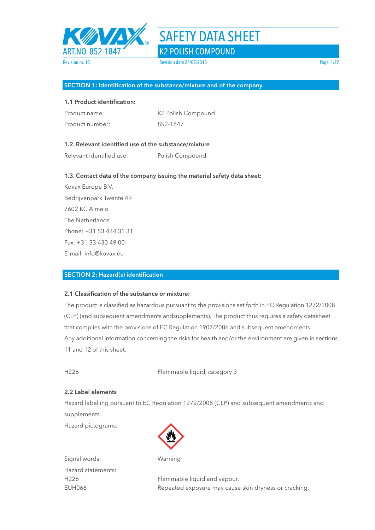

#### **SECTION 1: Identification of the substance/mixture and of the company**

### **1.1 Product identification:**

| Product name:   | K2 Polish Compound |
|-----------------|--------------------|
| Product number: | 852-1847           |

## **1.2. Relevant identified use of the substance/mixture**

Relevant identified use: Polish Compound

#### **1.3. Contact data of the company issuing the material safety data sheet:**

Kovax Europe B.V. Bedrijvenpark Twente 49 7602 KC Almelo The Netherlands Phone: +31 53 434 31 31 Fax: +31 53 430 49 00 E-mail: info@kovax.eu

#### **SECTION 2: Hazard(s) identification**

## **2.1 Classification of the substance or mixture:**

The product is classified as hazardous pursuant to the provisions set forth in EC Regulation 1272/2008 (CLP) (and subsequent amendments andsupplements). The product thus requires a safety datasheet that complies with the provisions of EC Regulation 1907/2006 and subsequent amendments. Any additional information concerning the risks for health and/or the environment are given in sections 11 and 12 of this sheet.

H226 Flammable liquid, category 3

#### **2.2 Label elements**

Hazard labelling pursuant to EC Regulation 1272/2008 (CLP) and subsequent amendments and supplements.

Hazard pictograms:



Signal words: Warning Hazard statements:

H226 Flammable liquid and vapour. EUH066 Repeated exposure may cause skin dryness or cracking.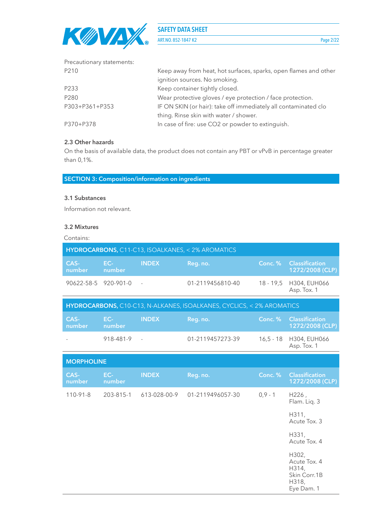

ART.NO. 852-1847 K2 Page 2/22

| Precautionary statements: |                                                                  |
|---------------------------|------------------------------------------------------------------|
| P210                      | Keep away from heat, hot surfaces, sparks, open flames and other |
|                           | ignition sources. No smoking.                                    |
| P233                      | Keep container tightly closed.                                   |
| P280                      | Wear protective gloves / eye protection / face protection.       |
| P303+P361+P353            | IF ON SKIN (or hair): take off immediately all contaminated clo  |
|                           | thing. Rinse skin with water / shower.                           |
| P370+P378                 | In case of fire: use CO2 or powder to extinguish.                |

## **2.3 Other hazards**

On the basis of available data, the product does not contain any PBT or vPvB in percentage greater than 0,1%.

**SECTION 3: Composition/information on ingredients**

## **3.1 Substances**

Information not relevant.

## **3.2 Mixtures**

Contains:

| HYDROCARBONS, C11-C13, ISOALKANES, < 2% AROMATICS |               |              |                                                                       |             |                                          |  |  |
|---------------------------------------------------|---------------|--------------|-----------------------------------------------------------------------|-------------|------------------------------------------|--|--|
| CAS-<br>number                                    | EC-<br>number | <b>INDEX</b> | Reg. no.                                                              | Conc. %     | <b>Classification</b><br>1272/2008 (CLP) |  |  |
| 90622-58-5 920-901-0                              |               |              | 01-2119456810-40                                                      | $18 - 19,5$ | H304, EUH066<br>Asp. Tox. 1              |  |  |
|                                                   |               |              | HYDROCARBONS, C10-C13, N-ALKANES, ISOALKANES, CYCLICS, < 2% AROMATICS |             |                                          |  |  |
| CAS-<br>number                                    | EC-<br>number | <b>INDEX</b> | Reg. no.                                                              | Conc. %     | <b>Classification</b><br>1272/2008 (CLP) |  |  |
|                                                   | 918-481-9     |              | 01-2119457273-39                                                      | $16,5 - 18$ | H304, EUH066<br>Asp. Tox. 1              |  |  |
| <b>MORPHOLINE</b>                                 |               |              |                                                                       |             |                                          |  |  |
| CAS-<br>number                                    | EC-<br>number | <b>INDEX</b> | Reg. no.                                                              | Conc.%      | <b>Classification</b>                    |  |  |
|                                                   |               |              |                                                                       |             | 1272/2008 (CLP)                          |  |  |
| $110-91-8$                                        | 203-815-1     | 613-028-00-9 | 01-2119496057-30                                                      | $0,9 - 1$   | H226,<br>Flam. Liq. 3                    |  |  |
|                                                   |               |              |                                                                       |             | H311.<br>Acute Tox. 3                    |  |  |
|                                                   |               |              |                                                                       |             | H331,<br>Acute Tox. 4                    |  |  |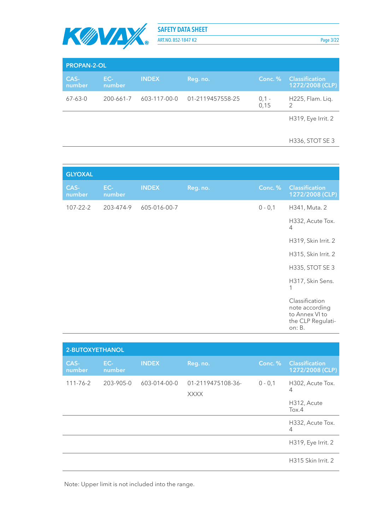

ART.NO. 852-1847 K2 Page 3/22

| <b>PROPAN-2-OL</b> |               |              |                  |                 |                                          |  |  |
|--------------------|---------------|--------------|------------------|-----------------|------------------------------------------|--|--|
| CAS-<br>number     | EC-<br>number | <b>INDEX</b> | Reg. no.         | Conc. %         | <b>Classification</b><br>1272/2008 (CLP) |  |  |
| $67 - 63 - 0$      | 200-661-7     | 603-117-00-0 | 01-2119457558-25 | $0,1 -$<br>0.15 | H225, Flam. Liq.                         |  |  |
|                    |               |              |                  |                 | H319, Eye Irrit. 2                       |  |  |

#### H336, STOT SE 3

| <b>GLYOXAL</b> |               |              |          |            |                                                                                   |
|----------------|---------------|--------------|----------|------------|-----------------------------------------------------------------------------------|
| CAS-<br>number | EC-<br>number | <b>INDEX</b> | Reg. no. | Conc.%     | <b>Classification</b><br>1272/2008 (CLP)                                          |
| $107 - 22 - 2$ | 203-474-9     | 605-016-00-7 |          | $0 - 0, 1$ | H341, Muta. 2                                                                     |
|                |               |              |          |            | H332, Acute Tox.<br>$\overline{4}$                                                |
|                |               |              |          |            | H319, Skin Irrit. 2                                                               |
|                |               |              |          |            | H315, Skin Irrit. 2                                                               |
|                |               |              |          |            | H335, STOT SE 3                                                                   |
|                |               |              |          |            | H317, Skin Sens.<br>1                                                             |
|                |               |              |          |            | Classification<br>note according<br>to Annex VI to<br>the CLP Regulati-<br>on: B. |

| 2-BUTOXYETHANOL |               |              |                                  |           |                                               |  |  |  |  |
|-----------------|---------------|--------------|----------------------------------|-----------|-----------------------------------------------|--|--|--|--|
| CAS-<br>number  | EC-<br>number | <b>INDEX</b> | Reg. no.                         | Conc. %   | <b>Classification</b><br>1272/2008 (CLP)      |  |  |  |  |
| $111 - 76 - 2$  | 203-905-0     | 603-014-00-0 | 01-2119475108-36-<br><b>XXXX</b> | $0 - 0,1$ | H302, Acute Tox.<br>4<br>H312, Acute<br>Tox.4 |  |  |  |  |
|                 |               |              |                                  |           | H332, Acute Tox.<br>4                         |  |  |  |  |
|                 |               |              |                                  |           | H319, Eye Irrit. 2                            |  |  |  |  |
|                 |               |              |                                  |           | H315 Skin Irrit. 2                            |  |  |  |  |

Note: Upper limit is not included into the range.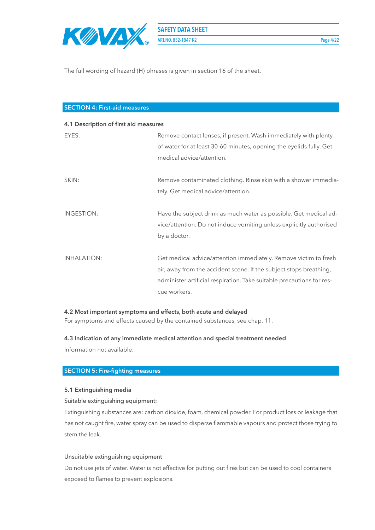

The full wording of hazard (H) phrases is given in section 16 of the sheet.

## **SECTION 4: First-aid measures**

| 4.1 Description of first aid measures |                                                                       |  |  |  |  |
|---------------------------------------|-----------------------------------------------------------------------|--|--|--|--|
| EYES:                                 | Remove contact lenses, if present. Wash immediately with plenty       |  |  |  |  |
|                                       | of water for at least 30-60 minutes, opening the eyelids fully. Get   |  |  |  |  |
|                                       | medical advice/attention.                                             |  |  |  |  |
| SKIN:                                 | Remove contaminated clothing. Rinse skin with a shower immedia-       |  |  |  |  |
|                                       | tely. Get medical advice/attention.                                   |  |  |  |  |
| <b>INGESTION:</b>                     | Have the subject drink as much water as possible. Get medical ad-     |  |  |  |  |
|                                       | vice/attention. Do not induce vomiting unless explicitly authorised   |  |  |  |  |
|                                       | by a doctor.                                                          |  |  |  |  |
| <b>INHALATION:</b>                    | Get medical advice/attention immediately. Remove victim to fresh      |  |  |  |  |
|                                       | air, away from the accident scene. If the subject stops breathing,    |  |  |  |  |
|                                       | administer artificial respiration. Take suitable precautions for res- |  |  |  |  |
|                                       | cue workers.                                                          |  |  |  |  |

### **4.2 Most important symptoms and effects, both acute and delayed**

For symptoms and effects caused by the contained substances, see chap. 11.

#### **4.3 Indication of any immediate medical attention and special treatment needed**

Information not available.

## **SECTION 5: Fire-fighting measures**

#### **5.1 Extinguishing media**

#### Suitable extinguishing equipment:

Extinguishing substances are: carbon dioxide, foam, chemical powder. For product loss or leakage that has not caught fire, water spray can be used to disperse flammable vapours and protect those trying to stem the leak.

#### Unsuitable extinguishing equipment

Do not use jets of water. Water is not effective for putting out fires but can be used to cool containers exposed to flames to prevent explosions.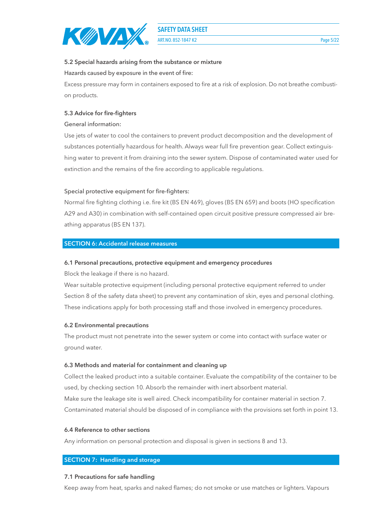

**ART.NO. 852-1847 K2** Page 5/22

## **5.2 Special hazards arising from the substance or mixture**

Hazards caused by exposure in the event of fire:

Excess pressure may form in containers exposed to fire at a risk of explosion. Do not breathe combustion products.

## **5.3 Advice for fire-fighters**

## General information:

Use jets of water to cool the containers to prevent product decomposition and the development of substances potentially hazardous for health. Always wear full fire prevention gear. Collect extinguishing water to prevent it from draining into the sewer system. Dispose of contaminated water used for extinction and the remains of the fire according to applicable regulations.

## Special protective equipment for fire-fighters:

Normal fire fighting clothing i.e. fire kit (BS EN 469), gloves (BS EN 659) and boots (HO specification A29 and A30) in combination with self-contained open circuit positive pressure compressed air breathing apparatus (BS EN 137).

## **SECTION 6: Accidental release measures**

## **6.1 Personal precautions, protective equipment and emergency procedures**

Block the leakage if there is no hazard.

Wear suitable protective equipment (including personal protective equipment referred to under Section 8 of the safety data sheet) to prevent any contamination of skin, eyes and personal clothing. These indications apply for both processing staff and those involved in emergency procedures.

## **6.2 Environmental precautions**

The product must not penetrate into the sewer system or come into contact with surface water or ground water.

#### **6.3 Methods and material for containment and cleaning up**

Collect the leaked product into a suitable container. Evaluate the compatibility of the container to be used, by checking section 10. Absorb the remainder with inert absorbent material. Make sure the leakage site is well aired. Check incompatibility for container material in section 7. Contaminated material should be disposed of in compliance with the provisions set forth in point 13.

#### **6.4 Reference to other sections**

Any information on personal protection and disposal is given in sections 8 and 13.

# **SECTION 7: Handling and storage**

#### **7.1 Precautions for safe handling**

Keep away from heat, sparks and naked flames; do not smoke or use matches or lighters. Vapours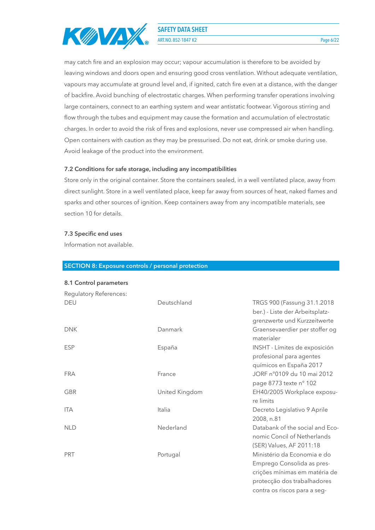

**ART.NO. 852-1847 K2** Page 6/22

may catch fire and an explosion may occur; vapour accumulation is therefore to be avoided by leaving windows and doors open and ensuring good cross ventilation. Without adequate ventilation, vapours may accumulate at ground level and, if ignited, catch fire even at a distance, with the danger of backfire. Avoid bunching of electrostatic charges. When performing transfer operations involving large containers, connect to an earthing system and wear antistatic footwear. Vigorous stirring and flow through the tubes and equipment may cause the formation and accumulation of electrostatic charges. In order to avoid the risk of fires and explosions, never use compressed air when handling. Open containers with caution as they may be pressurised. Do not eat, drink or smoke during use. Avoid leakage of the product into the environment.

#### **7.2 Conditions for safe storage, including any incompatibilities**

Store only in the original container. Store the containers sealed, in a well ventilated place, away from direct sunlight. Store in a well ventilated place, keep far away from sources of heat, naked flames and sparks and other sources of ignition. Keep containers away from any incompatible materials, see section 10 for details.

#### **7.3 Specific end uses**

Information not available.

#### **SECTION 8: Exposure controls / personal protection**

#### **8.1 Control parameters**

| Regulatory References: |                |                                                                                                                                                           |
|------------------------|----------------|-----------------------------------------------------------------------------------------------------------------------------------------------------------|
| <b>DEU</b>             | Deutschland    | TRGS 900 (Fassung 31.1.2018)<br>ber.) - Liste der Arbeitsplatz-<br>grenzwerte und Kurzzeitwerte                                                           |
| <b>DNK</b>             | Danmark        | Graensevaerdier per stoffer og<br>materialer                                                                                                              |
| <b>ESP</b>             | España         | INSHT - Límites de exposición<br>profesional para agentes<br>químicos en España 2017                                                                      |
| <b>FRA</b>             | France         | JORF n°0109 du 10 mai 2012<br>page 8773 texte nº 102                                                                                                      |
| <b>GBR</b>             | United Kingdom | EH40/2005 Workplace exposu-<br>re limits                                                                                                                  |
| <b>ITA</b>             | Italia         | Decreto Legislativo 9 Aprile<br>2008, n.81                                                                                                                |
| <b>NLD</b>             | Nederland      | Databank of the social and Eco-<br>nomic Concil of Netherlands<br>(SER) Values, AF 2011:18                                                                |
| <b>PRT</b>             | Portugal       | Ministério da Economia e do<br>Emprego Consolida as pres-<br>crições mínimas em matéria de<br>protecção dos trabalhadores<br>contra os riscos para a seg- |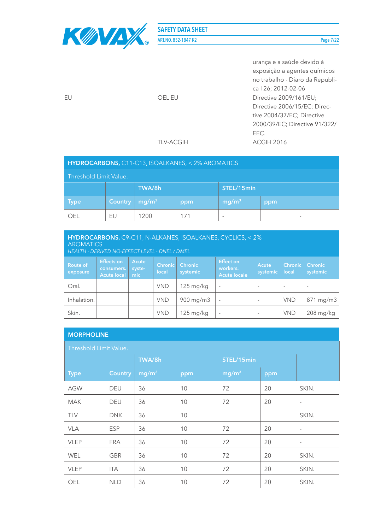

ART.NO. 852-1847 K2 Page 7/22

|    |           | urança e a saúde devido à       |
|----|-----------|---------------------------------|
|    |           | exposição a agentes químicos    |
|    |           | no trabalho - Diaro da Republi- |
|    |           | ca   26; 2012-02-06             |
| FU | OEL EU    | Directive 2009/161/EU;          |
|    |           | Directive 2006/15/EC; Direc-    |
|    |           | tive 2004/37/EC; Directive      |
|    |           | 2000/39/EC; Directive 91/322/   |
|    |           | EEC.                            |
|    | TLV-ACGIH | ACGIH 2016                      |
|    |           |                                 |

| Threshold Limit Value. |                |                   |     |                          |     |                          |  |
|------------------------|----------------|-------------------|-----|--------------------------|-----|--------------------------|--|
|                        |                | TWA/8h            |     | STEL/15min               |     |                          |  |
| <b>Type</b>            | <b>Country</b> | mg/m <sup>3</sup> | ppm | mg/m <sup>3</sup>        | ppm |                          |  |
| OFI.                   | EU             | 1200              | 171 | $\overline{\phantom{a}}$ |     | $\overline{\phantom{a}}$ |  |

| HYDROCARBONS, C9-C11, N-ALKANES, ISOALKANES, CYCLICS, < 2%<br><b>AROMATICS</b><br>HEALTH - DERIVED NO-EFFECT LEVEL - DNEL / DMEL                                                                                                                                                                      |  |  |            |                        |        |                          |            |             |
|-------------------------------------------------------------------------------------------------------------------------------------------------------------------------------------------------------------------------------------------------------------------------------------------------------|--|--|------------|------------------------|--------|--------------------------|------------|-------------|
| Effect on<br><b>Effects on</b><br><b>Acute</b><br><b>Route of</b><br><b>Chronic</b><br><b>Chronic</b><br>Chronic<br><b>Chronic</b><br>Acute<br>workers.<br>syste-<br>consumers.<br>local<br>local<br>systemic<br>systemic<br>systemic<br>exposure<br><b>Acute local</b><br>mic<br><b>Acute locale</b> |  |  |            |                        |        |                          |            |             |
| Oral.                                                                                                                                                                                                                                                                                                 |  |  | <b>VND</b> | 125 mg/kg              | $\sim$ | $\sim$                   | $\sim$     | $\sim$      |
| Inhalation.                                                                                                                                                                                                                                                                                           |  |  | <b>VND</b> | $900 \,\mathrm{mg/m}$  | $\sim$ | $\overline{\phantom{a}}$ | <b>VND</b> | 871 mg/m3   |
| Skin.                                                                                                                                                                                                                                                                                                 |  |  | <b>VND</b> | $125 \,\mathrm{mg/kg}$ |        | $\overline{\phantom{a}}$ | <b>VND</b> | $208$ mg/kg |

## **MORPHOLINE**

| Threshold Limit Value. |                |                   |     |                   |     |       |  |  |
|------------------------|----------------|-------------------|-----|-------------------|-----|-------|--|--|
|                        |                | TWA/8h            |     | STEL/15min        |     |       |  |  |
| <b>Type</b>            | <b>Country</b> | mg/m <sup>3</sup> | ppm | mg/m <sup>3</sup> | ppm |       |  |  |
| <b>AGW</b>             | <b>DEU</b>     | 36                | 10  | 72                | 20  | SKIN. |  |  |
| <b>MAK</b>             | DEU            | 36                | 10  | 72                | 20  |       |  |  |
| <b>TLV</b>             | <b>DNK</b>     | 36                | 10  |                   |     | SKIN. |  |  |
| <b>VLA</b>             | <b>ESP</b>     | 36                | 10  | 72                | 20  |       |  |  |
| <b>VLEP</b>            | <b>FRA</b>     | 36                | 10  | 72                | 20  |       |  |  |
| <b>WEL</b>             | GBR            | 36                | 10  | 72                | 20  | SKIN. |  |  |
| <b>VLEP</b>            | ITA            | 36                | 10  | 72                | 20  | SKIN. |  |  |
| OEL                    | <b>NLD</b>     | 36                | 10  | 72                | 20  | SKIN. |  |  |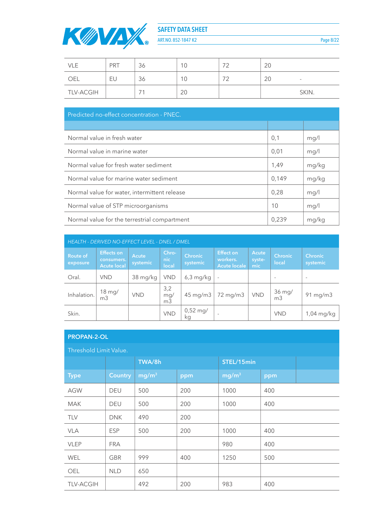

ART.NO. 852-1847 K2 Page 8/22

| VLE              | PRT | $\sim$<br>36 | 10             | フつ<br>∠ | $\cap$<br>- ZU |        |
|------------------|-----|--------------|----------------|---------|----------------|--------|
| OEL              | EU  | $\cap$<br>36 | 10             | フつ<br>∠ | ΖU             | $\sim$ |
| <b>TLV-ACGIH</b> |     |              | $\Omega$<br>ZU |         |                | SKIN.  |

| Predicted no-effect concentration - PNEC.    |       |       |  |  |  |  |
|----------------------------------------------|-------|-------|--|--|--|--|
|                                              |       |       |  |  |  |  |
| Normal value in fresh water                  | 0,1   | mg/l  |  |  |  |  |
| Normal value in marine water                 | 0,01  | mg/l  |  |  |  |  |
| Normal value for fresh water sediment        | 1,49  | mg/kg |  |  |  |  |
| Normal value for marine water sediment       | 0.149 | mg/kg |  |  |  |  |
| Normal value for water, intermittent release | 0,28  | mg/l  |  |  |  |  |
| Normal value of STP microorganisms           | 10    | mq/1  |  |  |  |  |
| Normal value for the terrestrial compartment | 0,239 | mg/kg |  |  |  |  |

| <b>HEALTH - DERIVED NO-EFFECT LEVEL - DNEL / DMEL</b> |                                                       |                   |                              |                             |                                                     |                               |                            |                            |
|-------------------------------------------------------|-------------------------------------------------------|-------------------|------------------------------|-----------------------------|-----------------------------------------------------|-------------------------------|----------------------------|----------------------------|
| <b>Route of</b><br>exposure                           | <b>Effects on</b><br>consumers.<br><b>Acute local</b> | Acute<br>systemic | Chro-<br>nic<br>local        | <b>Chronic</b><br>systemic  | <b>Effect on</b><br>workers.<br><b>Acute locale</b> | <b>Acute</b><br>syste-<br>mic | Chronic<br>local           | <b>Chronic</b><br>systemic |
| Oral.                                                 | <b>VND</b>                                            | 38 mg/kg          | <b>VND</b>                   | $6,3$ mg/kg                 |                                                     |                               | $\overline{\phantom{a}}$   | $\overline{\phantom{a}}$   |
| Inhalation.                                           | 18 mg/<br>m <sub>3</sub>                              | <b>VND</b>        | 3,2<br>mg/<br>m <sub>3</sub> | $45 \text{ mg/m}$           | 72 mg/m3                                            | <b>VND</b>                    | $36$ mg/<br>m <sub>3</sub> | $91 \text{ mg/m}$          |
| Skin.                                                 |                                                       |                   | <b>VND</b>                   | $0,52 \,\mathrm{mg}/$<br>kq |                                                     |                               | <b>VND</b>                 | 1,04 mg/kg                 |

## **PROPAN-2-OL**

| Threshold Limit Value. |                |                   |     |                   |     |  |  |  |  |
|------------------------|----------------|-------------------|-----|-------------------|-----|--|--|--|--|
|                        |                | TWA/8h            |     | STEL/15min        |     |  |  |  |  |
| <b>Type</b>            | <b>Country</b> | mg/m <sup>3</sup> | ppm | mg/m <sup>3</sup> | ppm |  |  |  |  |
| <b>AGW</b>             | DEU            | 500               | 200 | 1000              | 400 |  |  |  |  |
| <b>MAK</b>             | <b>DEU</b>     | 500               | 200 | 1000              | 400 |  |  |  |  |
| <b>TLV</b>             | <b>DNK</b>     | 490               | 200 |                   |     |  |  |  |  |
| <b>VLA</b>             | <b>ESP</b>     | 500               | 200 | 1000              | 400 |  |  |  |  |
| <b>VLEP</b>            | <b>FRA</b>     |                   |     | 980               | 400 |  |  |  |  |
| <b>WEL</b>             | <b>GBR</b>     | 999               | 400 | 1250              | 500 |  |  |  |  |
| <b>OEL</b>             | <b>NLD</b>     | 650               |     |                   |     |  |  |  |  |
| <b>TLV-ACGIH</b>       |                | 492               | 200 | 983               | 400 |  |  |  |  |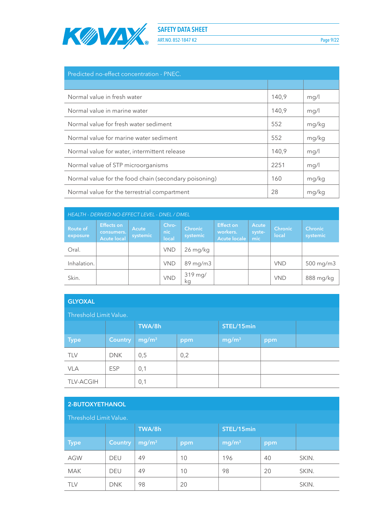

ART.NO. 852-1847 K2 Page 9/22

| Predicted no-effect concentration - PNEC.             |       |       |  |  |  |  |
|-------------------------------------------------------|-------|-------|--|--|--|--|
|                                                       |       |       |  |  |  |  |
| Normal value in fresh water                           | 140,9 | mg/l  |  |  |  |  |
| Normal value in marine water                          | 140.9 | mq/1  |  |  |  |  |
| Normal value for fresh water sediment                 | 552   | mg/kg |  |  |  |  |
| Normal value for marine water sediment                | 552   | mg/kg |  |  |  |  |
| Normal value for water, intermittent release          | 140.9 | mg/l  |  |  |  |  |
| Normal value of STP microorganisms                    | 2251  | mg/l  |  |  |  |  |
| Normal value for the food chain (secondary poisoning) | 160   | mg/kg |  |  |  |  |
| Normal value for the terrestrial compartment          | 28    | mg/kg |  |  |  |  |

| <b>HEALTH - DERIVED NO-EFFECT LEVEL - DNEL / DMEL</b> |                                                       |                          |                       |                            |                                                     |                        |                         |                            |  |
|-------------------------------------------------------|-------------------------------------------------------|--------------------------|-----------------------|----------------------------|-----------------------------------------------------|------------------------|-------------------------|----------------------------|--|
| Route of<br>exposure                                  | <b>Effects on</b><br>consumers.<br><b>Acute local</b> | <b>Acute</b><br>systemic | Chro-<br>nic<br>local | <b>Chronic</b><br>systemic | <b>Effect on</b><br>workers.<br><b>Acute locale</b> | Acute<br>syste-<br>mic | <b>Chronic</b><br>local | <b>Chronic</b><br>systemic |  |
| Oral.                                                 |                                                       |                          | <b>VND</b>            | $26 \,\mathrm{mg/kg}$      |                                                     |                        |                         |                            |  |
| Inhalation.                                           |                                                       |                          | <b>VND</b>            | $89 \,\mathrm{mg/m}$       |                                                     |                        | <b>VND</b>              | $500$ mg/m $3$             |  |
| Skin.                                                 |                                                       |                          | <b>VND</b>            | 319 mg/<br>kq              |                                                     |                        | <b>VND</b>              | 888 mg/kg                  |  |

| <b>GLYOXAL</b>         |                |                   |     |                   |     |  |  |  |  |
|------------------------|----------------|-------------------|-----|-------------------|-----|--|--|--|--|
| Threshold Limit Value. |                |                   |     |                   |     |  |  |  |  |
| TWA/8h<br>STEL/15min   |                |                   |     |                   |     |  |  |  |  |
| <b>Type</b>            | <b>Country</b> | mg/m <sup>3</sup> | ppm | mg/m <sup>3</sup> | ppm |  |  |  |  |
| <b>TLV</b>             | <b>DNK</b>     | 0,5               | 0,2 |                   |     |  |  |  |  |
| <b>VLA</b>             | <b>ESP</b>     | 0,1               |     |                   |     |  |  |  |  |
| <b>TLV-ACGIH</b>       |                | 0,1               |     |                   |     |  |  |  |  |

| 2-BUTOXYETHANOL        |                |                   |     |                   |     |       |  |  |
|------------------------|----------------|-------------------|-----|-------------------|-----|-------|--|--|
| Threshold Limit Value. |                |                   |     |                   |     |       |  |  |
|                        |                | TWA/8h            |     | STEL/15min        |     |       |  |  |
| <b>Type</b>            | <b>Country</b> | mg/m <sup>3</sup> | ppm | mg/m <sup>3</sup> | ppm |       |  |  |
| <b>AGW</b>             | <b>DEU</b>     | 49                | 10  | 196               | 40  | SKIN. |  |  |
| <b>MAK</b>             | <b>DEU</b>     | 49                | 10  | 98                | 20  | SKIN. |  |  |
| <b>TLV</b>             | <b>DNK</b>     | 98                | 20  |                   |     | SKIN. |  |  |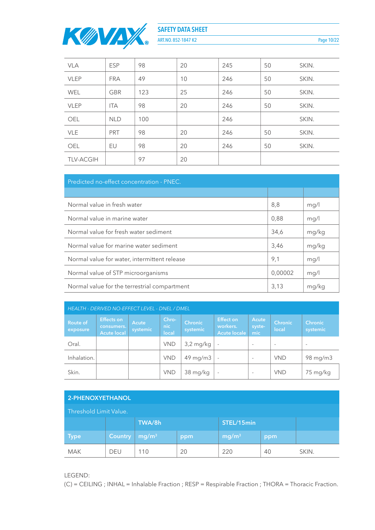

ART.NO. 852-1847 K2 Page 10/22

| <b>VLA</b>       | <b>ESP</b> | 98  | 20 | 245 | 50 | SKIN. |
|------------------|------------|-----|----|-----|----|-------|
| <b>VLEP</b>      | <b>FRA</b> | 49  | 10 | 246 | 50 | SKIN. |
| <b>WEL</b>       | <b>GBR</b> | 123 | 25 | 246 | 50 | SKIN. |
| <b>VLEP</b>      | <b>ITA</b> | 98  | 20 | 246 | 50 | SKIN. |
| OEL              | <b>NLD</b> | 100 |    | 246 |    | SKIN. |
| <b>VLE</b>       | <b>PRT</b> | 98  | 20 | 246 | 50 | SKIN. |
| <b>OEL</b>       | EU         | 98  | 20 | 246 | 50 | SKIN. |
| <b>TLV-ACGIH</b> |            | 97  | 20 |     |    |       |

| Predicted no-effect concentration - PNEC.    |         |       |  |  |  |  |  |
|----------------------------------------------|---------|-------|--|--|--|--|--|
|                                              |         |       |  |  |  |  |  |
| Normal value in fresh water                  | 8,8     | mg/l  |  |  |  |  |  |
| Normal value in marine water                 | 0,88    | mg/l  |  |  |  |  |  |
| Normal value for fresh water sediment        | 34,6    | mg/kg |  |  |  |  |  |
| Normal value for marine water sediment       | 3,46    | mg/kg |  |  |  |  |  |
| Normal value for water, intermittent release | 9,1     | mg/l  |  |  |  |  |  |
| Normal value of STP microorganisms           | 0,00002 | mg/l  |  |  |  |  |  |
| Normal value for the terrestrial compartment | 3,13    | mg/kg |  |  |  |  |  |

| <b>HEALTH - DERIVED NO-EFFECT LEVEL - DNEL / DMEL</b> |                                                       |                   |                       |                            |                                                     |                          |                          |                            |  |
|-------------------------------------------------------|-------------------------------------------------------|-------------------|-----------------------|----------------------------|-----------------------------------------------------|--------------------------|--------------------------|----------------------------|--|
| <b>Route of</b><br>exposure                           | <b>Effects on</b><br>consumers.<br><b>Acute local</b> | Acute<br>systemic | Chro-<br>nic<br>local | <b>Chronic</b><br>systemic | <b>Effect on</b><br>workers.<br><b>Acute locale</b> | Acute<br>syste-<br>mic   | Chronic<br>local         | <b>Chronic</b><br>systemic |  |
| Oral.                                                 |                                                       |                   | <b>VND</b>            | $3,2$ mg/kg                |                                                     | $\overline{\phantom{a}}$ | $\overline{\phantom{a}}$ | $\overline{\phantom{a}}$   |  |
| Inhalation.                                           |                                                       |                   | <b>VND</b>            | $49 \,\mathrm{mg/m3}$      | $\overline{\phantom{a}}$                            | $\overline{\phantom{a}}$ | <b>VND</b>               | 98 mg/m3                   |  |
| Skin.                                                 |                                                       |                   | <b>VND</b>            | 38 mg/kg                   | $\overline{\phantom{a}}$                            | $\overline{\phantom{a}}$ | <b>VND</b>               | 75 mg/kg                   |  |

| 2-PHENOXYETHANOL       |                                        |                      |                                 |  |  |  |  |  |  |
|------------------------|----------------------------------------|----------------------|---------------------------------|--|--|--|--|--|--|
| Threshold Limit Value. |                                        |                      |                                 |  |  |  |  |  |  |
|                        |                                        | TWA/8h<br>STEL/15min |                                 |  |  |  |  |  |  |
| <b>Type</b>            | <b>Country</b>                         | mg/m <sup>3</sup>    | mg/m <sup>3</sup><br>ppm<br>ppm |  |  |  |  |  |  |
| <b>MAK</b>             | 20<br>220<br>DEU<br>110<br>40<br>SKIN. |                      |                                 |  |  |  |  |  |  |

LEGEND:

(C) = CEILING ; INHAL = Inhalable Fraction ; RESP = Respirable Fraction ; THORA = Thoracic Fraction.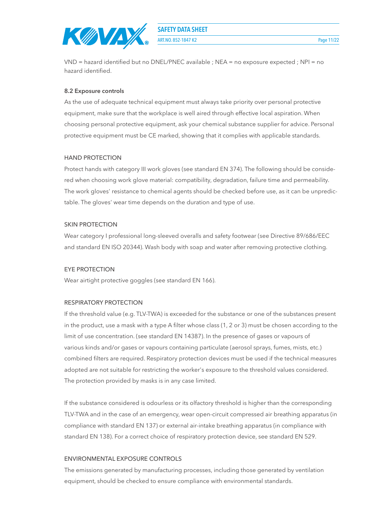

**ART.NO. 852-1847 K2** Page 11/22

VND = hazard identified but no DNEL/PNEC available ; NEA = no exposure expected ; NPI = no hazard identified.

#### **8.2 Exposure controls**

As the use of adequate technical equipment must always take priority over personal protective equipment, make sure that the workplace is well aired through effective local aspiration. When choosing personal protective equipment, ask your chemical substance supplier for advice. Personal protective equipment must be CE marked, showing that it complies with applicable standards.

#### HAND PROTECTION

Protect hands with category III work gloves (see standard EN 374). The following should be considered when choosing work glove material: compatibility, degradation, failure time and permeability. The work gloves' resistance to chemical agents should be checked before use, as it can be unpredictable. The gloves' wear time depends on the duration and type of use.

#### SKIN PROTECTION

Wear category I professional long-sleeved overalls and safety footwear (see Directive 89/686/EEC and standard EN ISO 20344). Wash body with soap and water after removing protective clothing.

#### EYE PROTECTION

Wear airtight protective goggles (see standard EN 166).

#### RESPIRATORY PROTECTION

If the threshold value (e.g. TLV-TWA) is exceeded for the substance or one of the substances present in the product, use a mask with a type A filter whose class (1, 2 or 3) must be chosen according to the limit of use concentration. (see standard EN 14387). In the presence of gases or vapours of various kinds and/or gases or vapours containing particulate (aerosol sprays, fumes, mists, etc.) combined filters are required. Respiratory protection devices must be used if the technical measures adopted are not suitable for restricting the worker's exposure to the threshold values considered. The protection provided by masks is in any case limited.

If the substance considered is odourless or its olfactory threshold is higher than the corresponding TLV-TWA and in the case of an emergency, wear open-circuit compressed air breathing apparatus (in compliance with standard EN 137) or external air-intake breathing apparatus (in compliance with standard EN 138). For a correct choice of respiratory protection device, see standard EN 529.

#### ENVIRONMENTAL EXPOSURE CONTROLS

The emissions generated by manufacturing processes, including those generated by ventilation equipment, should be checked to ensure compliance with environmental standards.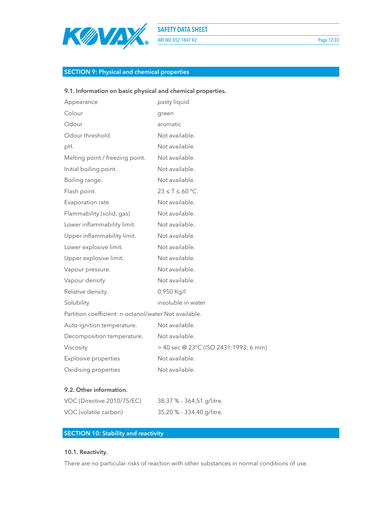

ART.NO. 852-1847 K2 Page 12/22

# **SECTION 9: Physical and chemical properties**

## **9.1. Information on basic physical and chemical properties.**

| Appearance                                            | pasty liquid                          |
|-------------------------------------------------------|---------------------------------------|
| Colour                                                | green                                 |
| Odour                                                 | aromatic                              |
| Odour threshold.                                      | Not available.                        |
| pH.                                                   | Not available.                        |
| Melting point / freezing point.                       | Not available.                        |
| Initial boiling point.                                | Not available.                        |
| Boiling range.                                        | Not available.                        |
| Flash point.                                          | $23 \leq T \leq 60$ °C.               |
| Evaporation rate                                      | Not available.                        |
| Flammability (solid, gas)                             | Not available.                        |
| Lower inflammability limit.                           | Not available.                        |
| Upper inflammability limit.                           | Not available.                        |
| Lower explosive limit.                                | Not available.                        |
| Upper explosive limit.                                | Not available.                        |
| Vapour pressure.                                      | Not available.                        |
| Vapour density                                        | Not available.                        |
| Relative density.                                     | 0,950 Kg/l                            |
| Solubility                                            | insoluble in water                    |
| Partition coefficient: n-octanol/water Not available. |                                       |
| Auto-ignition temperature.                            | Not available.                        |
| Decomposition temperature.                            | Not available.                        |
| Viscosity                                             | > 40 sec @ 23°C (ISO 2431:1993; 6 mm) |
| Explosive properties                                  | Not available.                        |
| Oxidising properties                                  | Not available.                        |
|                                                       |                                       |

## **9.2. Other information.**

| VOC (Directive 2010/75/EC) | 38,37 % - 364,51 g/litre. |
|----------------------------|---------------------------|
| VOC (volatile carbon)      | 35,20 % - 334,40 g/litre. |

## **SECTION 10: Stability and reactivity**

## **10.1. Reactivity.**

There are no particular risks of reaction with other substances in normal conditions of use.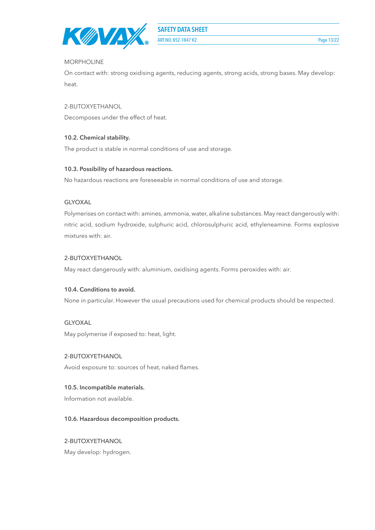

**ART.NO. 852-1847 K2** Page 13/22

#### MORPHOLINE

On contact with: strong oxidising agents, reducing agents, strong acids, strong bases. May develop: heat.

2-BUTOXYETHANOL

Decomposes under the effect of heat.

## **10.2. Chemical stability.**

The product is stable in normal conditions of use and storage.

#### **10.3. Possibility of hazardous reactions.**

No hazardous reactions are foreseeable in normal conditions of use and storage.

#### GLYOXAL

Polymerises on contact with: amines, ammonia, water, alkaline substances. May react dangerously with: nitric acid, sodium hydroxide, sulphuric acid, chlorosulphuric acid, ethyleneamine. Forms explosive mixtures with: air.

## 2-BUTOXYETHANOL

May react dangerously with: aluminium, oxidising agents. Forms peroxides with: air.

#### **10.4. Conditions to avoid.**

None in particular. However the usual precautions used for chemical products should be respected.

#### GLYOXAL

May polymerise if exposed to: heat, light.

#### 2-BUTOXYETHANOL

Avoid exposure to: sources of heat, naked flames.

#### **10.5. Incompatible materials.**

Information not available.

#### **10.6. Hazardous decomposition products.**

## 2-BUTOXYETHANOL

May develop: hydrogen.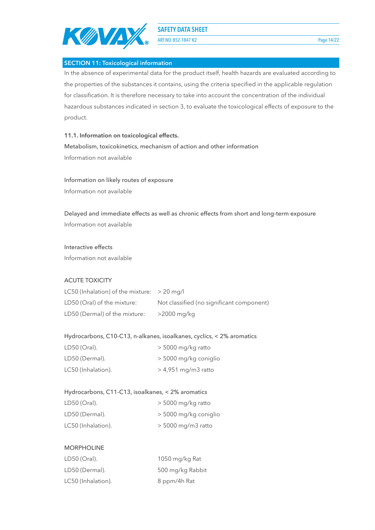

**ART.NO. 852-1847 K2** Page 14/22

**SECTION 11: Toxicological information**

In the absence of experimental data for the product itself, health hazards are evaluated according to the properties of the substances it contains, using the criteria specified in the applicable regulation for classification. It is therefore necessary to take into account the concentration of the individual hazardous substances indicated in section 3, to evaluate the toxicological effects of exposure to the product.

#### **11.1. Information on toxicological effects.**

Metabolism, toxicokinetics, mechanism of action and other information Information not available

#### Information on likely routes of exposure

Information not available

Delayed and immediate effects as well as chronic effects from short and long-term exposure Information not available

#### Interactive effects

Information not available

#### ACUTE TOXICITY

| LC50 (Inhalation) of the mixture: $>$ 20 mg/l |                                           |
|-----------------------------------------------|-------------------------------------------|
| LD50 (Oral) of the mixture:                   | Not classified (no significant component) |
| LD50 (Dermal) of the mixture:                 | >2000 mg/kg                               |

#### Hydrocarbons, C10-C13, n-alkanes, isoalkanes, cyclics, < 2% aromatics

| LD50 (Oral).       | $>$ 5000 mg/kg ratto  |
|--------------------|-----------------------|
| LD50 (Dermal).     | > 5000 mg/kg coniglio |
| LC50 (Inhalation). | $>$ 4,951 mg/m3 ratto |

#### Hydrocarbons, C11-C13, isoalkanes, < 2% aromatics

| LD50 (Oral).       | $>$ 5000 mg/kg ratto  |
|--------------------|-----------------------|
| LD50 (Dermal).     | > 5000 mg/kg coniglio |
| LC50 (Inhalation). | $> 5000$ mg/m3 ratto  |

#### MORPHOLINE

| LD50 (Oral).       | 1050 mg/kg Rat   |
|--------------------|------------------|
| LD50 (Dermal).     | 500 mg/kg Rabbit |
| LC50 (Inhalation). | 8 ppm/4h Rat     |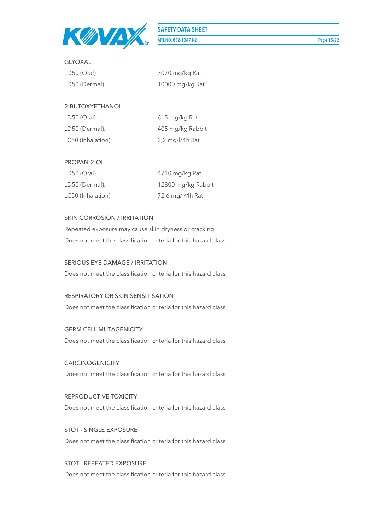

**ART.NO. 852-1847 K2** Page 15/22

| $LD50$ (Oral) | 7070 mg/kg Rat  |
|---------------|-----------------|
| LD50 (Dermal) | 10000 mg/kg Rat |

## 2-BUTOXYETHANOL

GLYOXAL

| LD50 (Oral).       | 615 mg/kg Rat                      |
|--------------------|------------------------------------|
| LD50 (Dermal).     | 405 mg/kg Rabbit                   |
| LC50 (Inhalation). | $2,2 \text{ mg}/\frac{1}{4}$ h Rat |

#### PROPAN-2-OL

| LD50 (Oral).       | 4710 mg/kg Rat     |
|--------------------|--------------------|
| LD50 (Dermal).     | 12800 mg/kg Rabbit |
| LC50 (Inhalation). | 72,6 mg/l/4h Rat   |

## SKIN CORROSION / IRRITATION

Repeated exposure may cause skin dryness or cracking. Does not meet the classification criteria for this hazard class

## SERIOUS EYE DAMAGE / IRRITATION

Does not meet the classification criteria for this hazard class

## RESPIRATORY OR SKIN SENSITISATION

Does not meet the classification criteria for this hazard class

#### GERM CELL MUTAGENICITY

Does not meet the classification criteria for this hazard class

# **CARCINOGENICITY** Does not meet the classification criteria for this hazard class

REPRODUCTIVE TOXICITY Does not meet the classification criteria for this hazard class

STOT - SINGLE EXPOSURE Does not meet the classification criteria for this hazard class

# STOT - REPEATED EXPOSURE

Does not meet the classification criteria for this hazard class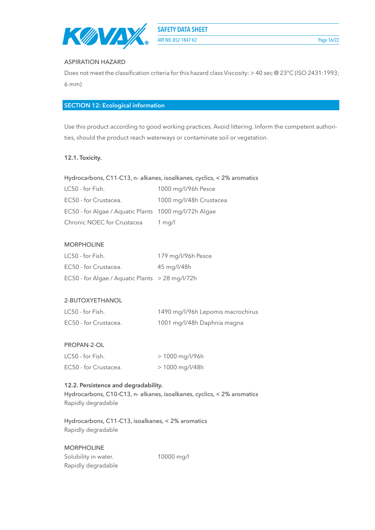

**ART.NO. 852-1847 K2** Page 16/22

#### ASPIRATION HAZARD

Does not meet the classification criteria for this hazard class Viscosity: > 40 sec @ 23°C (ISO 2431:1993; 6 mm)

## **SECTION 12: Ecological information**

Use this product according to good working practices. Avoid littering. Inform the competent authorities, should the product reach waterways or contaminate soil or vegetation.

#### **12.1. Toxicity.**

| LC50 - for Fish.                                      | 1000 mg/l/96h Pesce     |
|-------------------------------------------------------|-------------------------|
| EC50 - for Crustacea.                                 | 1000 mg/l/48h Crustacea |
| EC50 - for Algae / Aquatic Plants 1000 mg/l/72h Algae |                         |
| Chronic NOEC for Crustacea                            | 1 mg/l                  |

## MORPHOLINE

| LC50 - for Fish.                                | 179 mg/l/96h Pesce |
|-------------------------------------------------|--------------------|
| EC50 - for Crustacea.                           | 45 mg/l/48h        |
| EC50 - for Algae / Aquatic Plants > 28 mg/l/72h |                    |

#### 2-BUTOXYETHANOL

| LC50 - for Fish.      | 1490 mg/l/96h Lepomis macrochirus |
|-----------------------|-----------------------------------|
| EC50 - for Crustacea. | 1001 mg/l/48h Daphnia magna       |

#### PROPAN-2-OL

| LC50 - for Fish.      | > 1000 mg/l/96h |
|-----------------------|-----------------|
| EC50 - for Crustacea. | > 1000 mg/l/48h |

#### **12.2. Persistence and degradability.**

Hydrocarbons, C10-C13, n- alkanes, isoalkanes, cyclics, < 2% aromatics Rapidly degradable

Hydrocarbons, C11-C13, isoalkanes, < 2% aromatics Rapidly degradable

#### MORPHOLINE

| Solubility in water. |  |
|----------------------|--|
| Rapidly degradable   |  |

10000 mg/l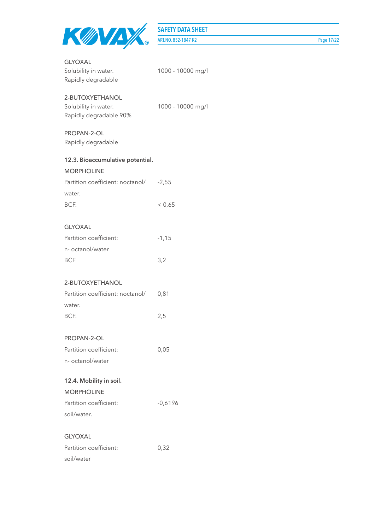

ART.NO. 852-1847 K2 Page 17/22

| <b>GLYOXAL</b><br>Solubility in water.<br>Rapidly degradable      | 1000 - 10000 mg/l |
|-------------------------------------------------------------------|-------------------|
| 2-BUTOXYETHANOL<br>Solubility in water.<br>Rapidly degradable 90% | 1000 - 10000 mg/l |
| PROPAN-2-OL<br>Rapidly degradable                                 |                   |
| 12.3. Bioaccumulative potential.<br><b>MORPHOLINE</b>             |                   |
| Partition coefficient: noctanol/<br>water.                        | $-2,55$           |
| BCF.                                                              | < 0,65            |
| <b>GLYOXAL</b>                                                    |                   |
| Partition coefficient:                                            | $-1,15$           |
| n- octanol/water                                                  |                   |
| <b>BCF</b>                                                        | 3,2               |
| 2-BUTOXYETHANOL                                                   |                   |
| Partition coefficient: noctanol/<br>water.                        | 0,81              |
| BCF.                                                              | 2,5               |
| PROPAN-2-OL                                                       |                   |
| Partition coefficient:                                            | 0,05              |
| n- octanol/water                                                  |                   |
| 12.4. Mobility in soil.                                           |                   |
| <b>MORPHOLINE</b>                                                 |                   |
| Partition coefficient:                                            | $-0,6196$         |
| soil/water.                                                       |                   |
| <b>GLYOXAL</b>                                                    |                   |
| Partition coefficient:                                            | 0,32              |
| soil/water                                                        |                   |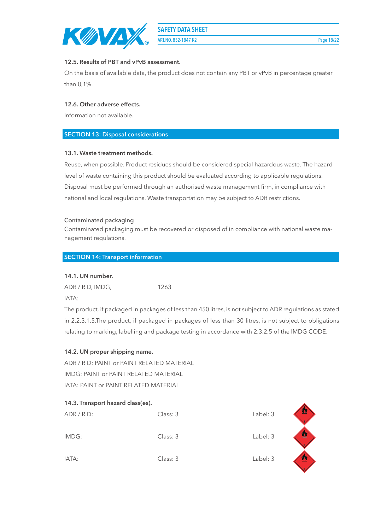ART.NO. 852-1847 K2 Page 18/22

## **12.5. Results of PBT and vPvB assessment.**

On the basis of available data, the product does not contain any PBT or vPvB in percentage greater than 0,1%.

## **12.6. Other adverse effects.**

Information not available.

## **SECTION 13: Disposal considerations**

## **13.1. Waste treatment methods.**

Reuse, when possible. Product residues should be considered special hazardous waste. The hazard level of waste containing this product should be evaluated according to applicable regulations. Disposal must be performed through an authorised waste management firm, in compliance with national and local regulations. Waste transportation may be subject to ADR restrictions.

## Contaminated packaging

Contaminated packaging must be recovered or disposed of in compliance with national waste management regulations.

## **SECTION 14: Transport information**

## **14.1. UN number.**

ADR / RID, IMDG, 1263

IATA:

The product, if packaged in packages of less than 450 litres, is not subject to ADR regulations as stated in 2.2.3.1.5.The product, if packaged in packages of less than 30 litres, is not subject to obligations relating to marking, labelling and package testing in accordance with 2.3.2.5 of the IMDG CODE.

## **14.2. UN proper shipping name.**

ADR / RID: PAINT or PAINT RELATED MATERIAL IMDG: PAINT or PAINT RELATED MATERIAL IATA: PAINT or PAINT RELATED MATERIAL

| 14.3. Transport hazard class(es). |          |          |   |
|-----------------------------------|----------|----------|---|
| ADR / RID:                        | Class: 3 | Label: 3 | ข |
| IMDG:                             | Class: 3 | Label: 3 | 粵 |
| IATA:                             | Class: 3 | Label: 3 | 婴 |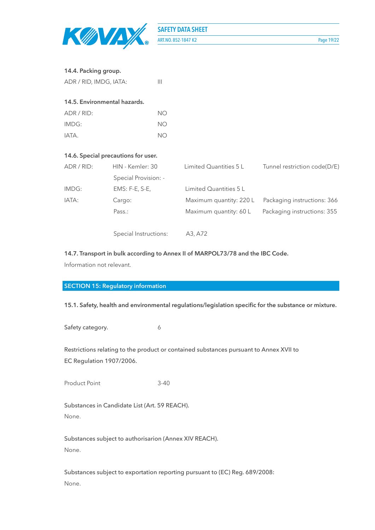

**SAFETY DATA SHEET ART.NO. 852-1847 K2** Page 19/22

## **14.4. Packing group.**

| ADR / RID, IMDG, IATA:       | Ш  |
|------------------------------|----|
| 14.5. Environmental hazards. |    |
| $\triangle$ DR / RID:        | NΟ |
| IMDG:                        | NΟ |
| IATA.                        | NΟ |
|                              |    |

#### **14.6. Special precautions for user.**

| ADR/RID: | HIN - Kemler: 30     | Limited Quantities 5 L  | Tunnel restriction code(D/E) |
|----------|----------------------|-------------------------|------------------------------|
|          | Special Provision: - |                         |                              |
| IMDG:    | $EMS: F-E, S-E,$     | Limited Quantities 5 L  |                              |
| IATA:    | Cargo:               | Maximum quantity: 220 L | Packaging instructions: 366  |
|          | Pass.:               | Maximum quantity: 60 L  | Packaging instructions: 355  |
|          |                      |                         |                              |

Special Instructions: A3, A72

## **14.7. Transport in bulk according to Annex II of MARPOL73/78 and the IBC Code.**

Information not relevant.

## **SECTION 15: Regulatory information**

#### **15.1. Safety, health and environmental regulations/legislation specific for the substance or mixture.**

Safety category. 6

Restrictions relating to the product or contained substances pursuant to Annex XVII to EC Regulation 1907/2006.

Product Point 3-40

Substances in Candidate List (Art. 59 REACH). None.

Substances subject to authorisarion (Annex XIV REACH). None.

Substances subject to exportation reporting pursuant to (EC) Reg. 689/2008: None.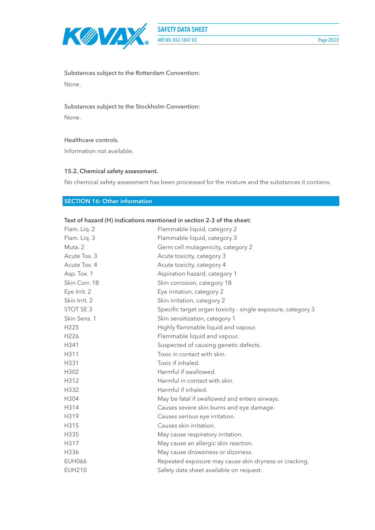

Substances subject to the Rotterdam Convention: None.

#### Substances subject to the Stockholm Convention:

None.

#### Healthcare controls.

Information not available.

#### **15.2. Chemical safety assessment.**

No chemical safety assessment has been processed for the mixture and the substances it contains.

# **SECTION 16: Other information**

| Text of hazard (H) indications mentioned in section 2-3 of the sheet: |                                                              |  |
|-----------------------------------------------------------------------|--------------------------------------------------------------|--|
| Flam. Liq. 2                                                          | Flammable liquid, category 2                                 |  |
| Flam. Liq. 3                                                          | Flammable liquid, category 3                                 |  |
| Muta, 2                                                               | Germ cell mutagenicity, category 2                           |  |
| Acute Tox. 3                                                          | Acute toxicity, category 3                                   |  |
| Acute Tox. 4                                                          | Acute toxicity, category 4                                   |  |
| Asp. Tox. 1                                                           | Aspiration hazard, category 1                                |  |
| Skin Corr. 1B                                                         | Skin corrosion, category 1B                                  |  |
| Eye Irrit. 2                                                          | Eye irritation, category 2                                   |  |
| Skin Irrit. 2                                                         | Skin irritation, category 2                                  |  |
| STOT SE 3                                                             | Specific target organ toxicity - single exposure, category 3 |  |
| Skin Sens. 1                                                          | Skin sensitization, category 1                               |  |
| H225                                                                  | Highly flammable liquid and vapour.                          |  |
| H226                                                                  | Flammable liquid and vapour.                                 |  |
| H341                                                                  | Suspected of causing genetic defects.                        |  |
| H311                                                                  | Toxic in contact with skin.                                  |  |
| H331                                                                  | Toxic if inhaled.                                            |  |
| H302                                                                  | Harmful if swallowed.                                        |  |
| H312                                                                  | Harmful in contact with skin.                                |  |
| H332                                                                  | Harmful if inhaled.                                          |  |
| H304                                                                  | May be fatal if swallowed and enters airways.                |  |
| H314                                                                  | Causes severe skin burns and eye damage.                     |  |
| H319                                                                  | Causes serious eye irritation.                               |  |
| H315                                                                  | Causes skin irritation.                                      |  |
| H335                                                                  | May cause respiratory irritation.                            |  |
| H317                                                                  | May cause an allergic skin reaction.                         |  |
| H336                                                                  | May cause drowsiness or dizziness.                           |  |
| <b>EUH066</b>                                                         | Repeated exposure may cause skin dryness or cracking.        |  |
| <b>EUH210</b>                                                         | Safety data sheet available on request.                      |  |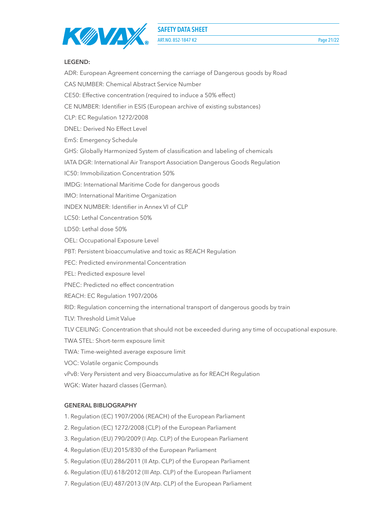



**LEGEND:**

ADR: European Agreement concerning the carriage of Dangerous goods by Road CAS NUMBER: Chemical Abstract Service Number CE50: Effective concentration (required to induce a 50% effect) CE NUMBER: Identifier in ESIS (European archive of existing substances) CLP: EC Regulation 1272/2008 DNEL: Derived No Effect Level EmS: Emergency Schedule GHS: Globally Harmonized System of classification and labeling of chemicals IATA DGR: International Air Transport Association Dangerous Goods Regulation IC50: Immobilization Concentration 50% IMDG: International Maritime Code for dangerous goods IMO: International Maritime Organization INDEX NUMBER: Identifier in Annex VI of CLP LC50: Lethal Concentration 50% LD50: Lethal dose 50% OEL: Occupational Exposure Level PBT: Persistent bioaccumulative and toxic as REACH Regulation PEC: Predicted environmental Concentration PEL: Predicted exposure level PNEC: Predicted no effect concentration REACH: EC Regulation 1907/2006 RID: Regulation concerning the international transport of dangerous goods by train TLV: Threshold Limit Value TLV CEILING: Concentration that should not be exceeded during any time of occupational exposure. TWA STEL: Short-term exposure limit TWA: Time-weighted average exposure limit VOC: Volatile organic Compounds vPvB: Very Persistent and very Bioaccumulative as for REACH Regulation WGK: Water hazard classes (German). **GENERAL BIBLIOGRAPHY** 1. Regulation (EC) 1907/2006 (REACH) of the European Parliament

- 2. Regulation (EC) 1272/2008 (CLP) of the European Parliament
- 3. Regulation (EU) 790/2009 (I Atp. CLP) of the European Parliament
- 4. Regulation (EU) 2015/830 of the European Parliament
- 5. Regulation (EU) 286/2011 (II Atp. CLP) of the European Parliament
- 6. Regulation (EU) 618/2012 (III Atp. CLP) of the European Parliament
- 7. Regulation (EU) 487/2013 (IV Atp. CLP) of the European Parliament